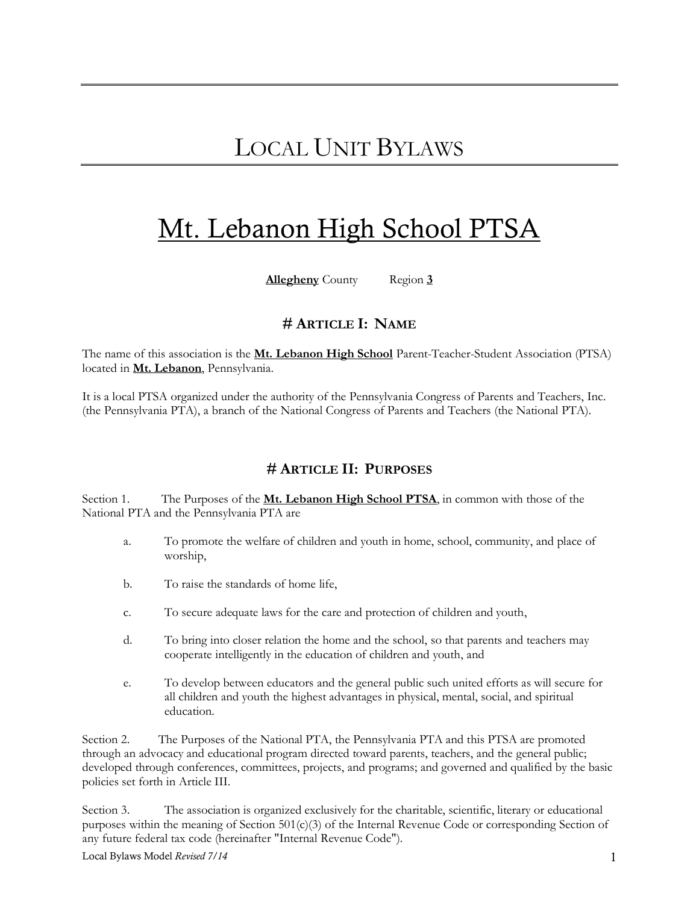# Mt. Lebanon High School PTSA

**Allegheny** County Region **3**

## **# ARTICLE I: NAME**

The name of this association is the **Mt. Lebanon High School** Parent-Teacher-Student Association (PTSA) located in **Mt. Lebanon**, Pennsylvania.

It is a local PTSA organized under the authority of the Pennsylvania Congress of Parents and Teachers, Inc. (the Pennsylvania PTA), a branch of the National Congress of Parents and Teachers (the National PTA).

## **# ARTICLE II: PURPOSES**

Section 1. The Purposes of the **Mt. Lebanon High School PTSA**, in common with those of the National PTA and the Pennsylvania PTA are

- a. To promote the welfare of children and youth in home, school, community, and place of worship,
- b. To raise the standards of home life,
- c. To secure adequate laws for the care and protection of children and youth,
- d. To bring into closer relation the home and the school, so that parents and teachers may cooperate intelligently in the education of children and youth, and
- e. To develop between educators and the general public such united efforts as will secure for all children and youth the highest advantages in physical, mental, social, and spiritual education.

Section 2. The Purposes of the National PTA, the Pennsylvania PTA and this PTSA are promoted through an advocacy and educational program directed toward parents, teachers, and the general public; developed through conferences, committees, projects, and programs; and governed and qualified by the basic policies set forth in Article III.

Section 3. The association is organized exclusively for the charitable, scientific, literary or educational purposes within the meaning of Section 501(c)(3) of the Internal Revenue Code or corresponding Section of any future federal tax code (hereinafter "Internal Revenue Code").

Local Bylaws Model *Revised 7/14* 1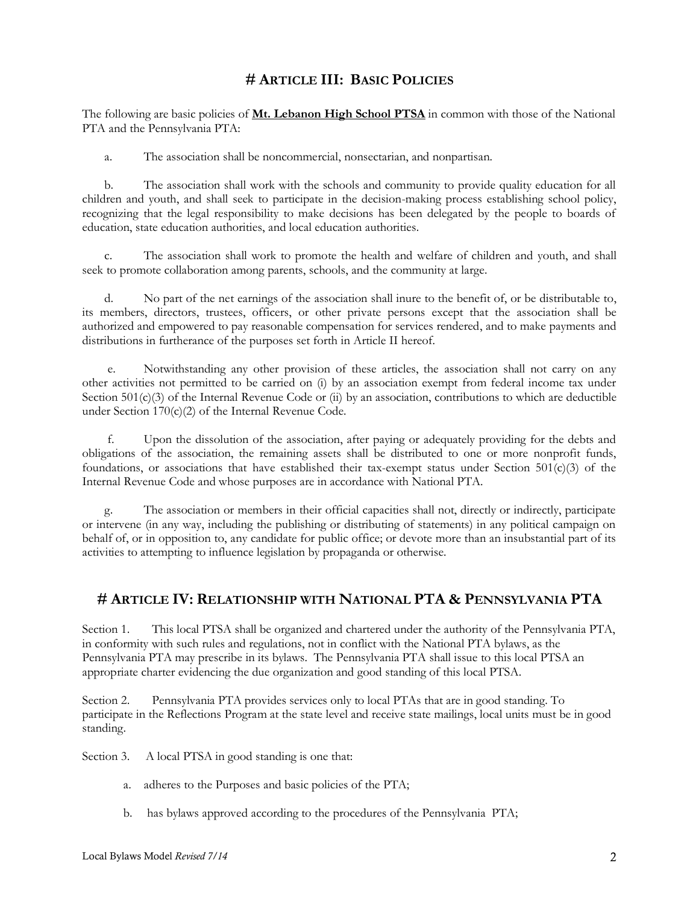## **# ARTICLE III: BASIC POLICIES**

The following are basic policies of **Mt. Lebanon High School PTSA** in common with those of the National PTA and the Pennsylvania PTA:

a. The association shall be noncommercial, nonsectarian, and nonpartisan.

 b. The association shall work with the schools and community to provide quality education for all children and youth, and shall seek to participate in the decision-making process establishing school policy, recognizing that the legal responsibility to make decisions has been delegated by the people to boards of education, state education authorities, and local education authorities.

 c. The association shall work to promote the health and welfare of children and youth, and shall seek to promote collaboration among parents, schools, and the community at large.

 d. No part of the net earnings of the association shall inure to the benefit of, or be distributable to, its members, directors, trustees, officers, or other private persons except that the association shall be authorized and empowered to pay reasonable compensation for services rendered, and to make payments and distributions in furtherance of the purposes set forth in Article II hereof.

 e. Notwithstanding any other provision of these articles, the association shall not carry on any other activities not permitted to be carried on (i) by an association exempt from federal income tax under Section 501(c)(3) of the Internal Revenue Code or (ii) by an association, contributions to which are deductible under Section 170(c)(2) of the Internal Revenue Code.

 f. Upon the dissolution of the association, after paying or adequately providing for the debts and obligations of the association, the remaining assets shall be distributed to one or more nonprofit funds, foundations, or associations that have established their tax-exempt status under Section  $501(c)(3)$  of the Internal Revenue Code and whose purposes are in accordance with National PTA.

 g. The association or members in their official capacities shall not, directly or indirectly, participate or intervene (in any way, including the publishing or distributing of statements) in any political campaign on behalf of, or in opposition to, any candidate for public office; or devote more than an insubstantial part of its activities to attempting to influence legislation by propaganda or otherwise.

## **# ARTICLE IV: RELATIONSHIP WITH NATIONAL PTA & PENNSYLVANIA PTA**

Section 1. This local PTSA shall be organized and chartered under the authority of the Pennsylvania PTA, in conformity with such rules and regulations, not in conflict with the National PTA bylaws, as the Pennsylvania PTA may prescribe in its bylaws. The Pennsylvania PTA shall issue to this local PTSA an appropriate charter evidencing the due organization and good standing of this local PTSA.

Section 2. Pennsylvania PTA provides services only to local PTAs that are in good standing. To participate in the Reflections Program at the state level and receive state mailings, local units must be in good standing.

Section 3. A local PTSA in good standing is one that:

- a. adheres to the Purposes and basic policies of the PTA;
- b. has bylaws approved according to the procedures of the Pennsylvania PTA;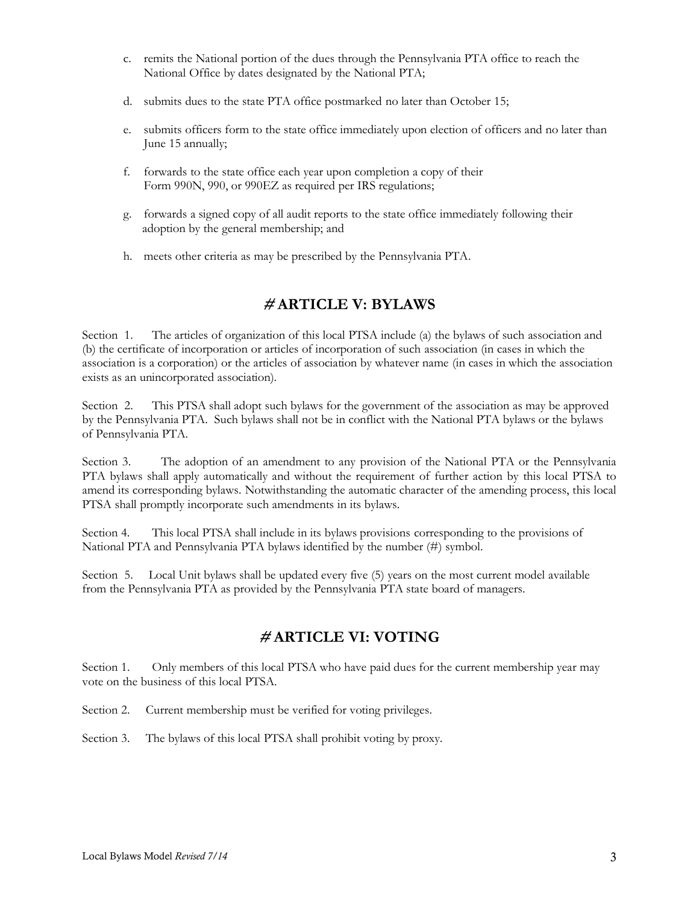- c. remits the National portion of the dues through the Pennsylvania PTA office to reach the National Office by dates designated by the National PTA;
- d. submits dues to the state PTA office postmarked no later than October 15;
- e. submits officers form to the state office immediately upon election of officers and no later than June 15 annually;
- f. forwards to the state office each year upon completion a copy of their Form 990N, 990, or 990EZ as required per IRS regulations;
- g. forwards a signed copy of all audit reports to the state office immediately following their adoption by the general membership; and
- h. meets other criteria as may be prescribed by the Pennsylvania PTA.

# **# ARTICLE V: BYLAWS**

Section 1. The articles of organization of this local PTSA include (a) the bylaws of such association and (b) the certificate of incorporation or articles of incorporation of such association (in cases in which the association is a corporation) or the articles of association by whatever name (in cases in which the association exists as an unincorporated association).

Section 2. This PTSA shall adopt such bylaws for the government of the association as may be approved by the Pennsylvania PTA. Such bylaws shall not be in conflict with the National PTA bylaws or the bylaws of Pennsylvania PTA.

Section 3. The adoption of an amendment to any provision of the National PTA or the Pennsylvania PTA bylaws shall apply automatically and without the requirement of further action by this local PTSA to amend its corresponding bylaws. Notwithstanding the automatic character of the amending process, this local PTSA shall promptly incorporate such amendments in its bylaws.

Section 4. This local PTSA shall include in its bylaws provisions corresponding to the provisions of National PTA and Pennsylvania PTA bylaws identified by the number (#) symbol.

Section 5. Local Unit bylaws shall be updated every five (5) years on the most current model available from the Pennsylvania PTA as provided by the Pennsylvania PTA state board of managers.

## **# ARTICLE VI: VOTING**

Section 1. Only members of this local PTSA who have paid dues for the current membership year may vote on the business of this local PTSA.

Section 2. Current membership must be verified for voting privileges.

Section 3. The bylaws of this local PTSA shall prohibit voting by proxy.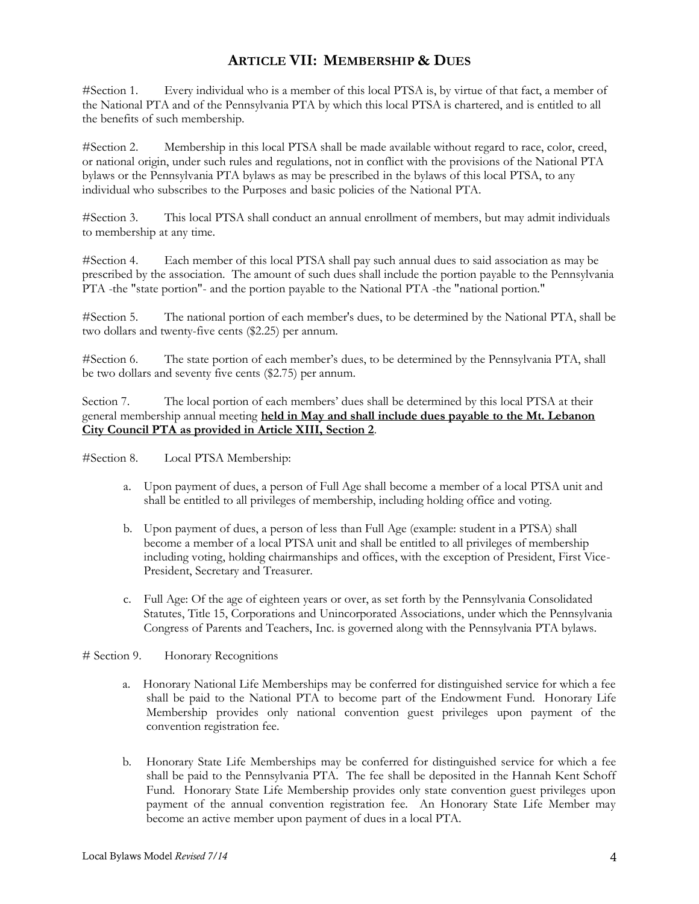# **ARTICLE VII: MEMBERSHIP & DUES**

#Section 1. Every individual who is a member of this local PTSA is, by virtue of that fact, a member of the National PTA and of the Pennsylvania PTA by which this local PTSA is chartered, and is entitled to all the benefits of such membership.

#Section 2. Membership in this local PTSA shall be made available without regard to race, color, creed, or national origin, under such rules and regulations, not in conflict with the provisions of the National PTA bylaws or the Pennsylvania PTA bylaws as may be prescribed in the bylaws of this local PTSA, to any individual who subscribes to the Purposes and basic policies of the National PTA.

#Section 3. This local PTSA shall conduct an annual enrollment of members, but may admit individuals to membership at any time.

#Section 4. Each member of this local PTSA shall pay such annual dues to said association as may be prescribed by the association. The amount of such dues shall include the portion payable to the Pennsylvania PTA -the "state portion"- and the portion payable to the National PTA -the "national portion."

#Section 5. The national portion of each member's dues, to be determined by the National PTA, shall be two dollars and twenty-five cents (\$2.25) per annum.

#Section 6. The state portion of each member's dues, to be determined by the Pennsylvania PTA, shall be two dollars and seventy five cents (\$2.75) per annum.

Section 7. The local portion of each members' dues shall be determined by this local PTSA at their general membership annual meeting **held in May and shall include dues payable to the Mt. Lebanon City Council PTA as provided in Article XIII, Section 2**.

#Section 8. Local PTSA Membership:

- a. Upon payment of dues, a person of Full Age shall become a member of a local PTSA unit and shall be entitled to all privileges of membership, including holding office and voting.
- b. Upon payment of dues, a person of less than Full Age (example: student in a PTSA) shall become a member of a local PTSA unit and shall be entitled to all privileges of membership including voting, holding chairmanships and offices, with the exception of President, First Vice-President, Secretary and Treasurer.
- c. Full Age: Of the age of eighteen years or over, as set forth by the Pennsylvania Consolidated Statutes, Title 15, Corporations and Unincorporated Associations, under which the Pennsylvania Congress of Parents and Teachers, Inc. is governed along with the Pennsylvania PTA bylaws.

# Section 9. Honorary Recognitions

- a. Honorary National Life Memberships may be conferred for distinguished service for which a fee shall be paid to the National PTA to become part of the Endowment Fund. Honorary Life Membership provides only national convention guest privileges upon payment of the convention registration fee.
- b. Honorary State Life Memberships may be conferred for distinguished service for which a fee shall be paid to the Pennsylvania PTA. The fee shall be deposited in the Hannah Kent Schoff Fund. Honorary State Life Membership provides only state convention guest privileges upon payment of the annual convention registration fee. An Honorary State Life Member may become an active member upon payment of dues in a local PTA.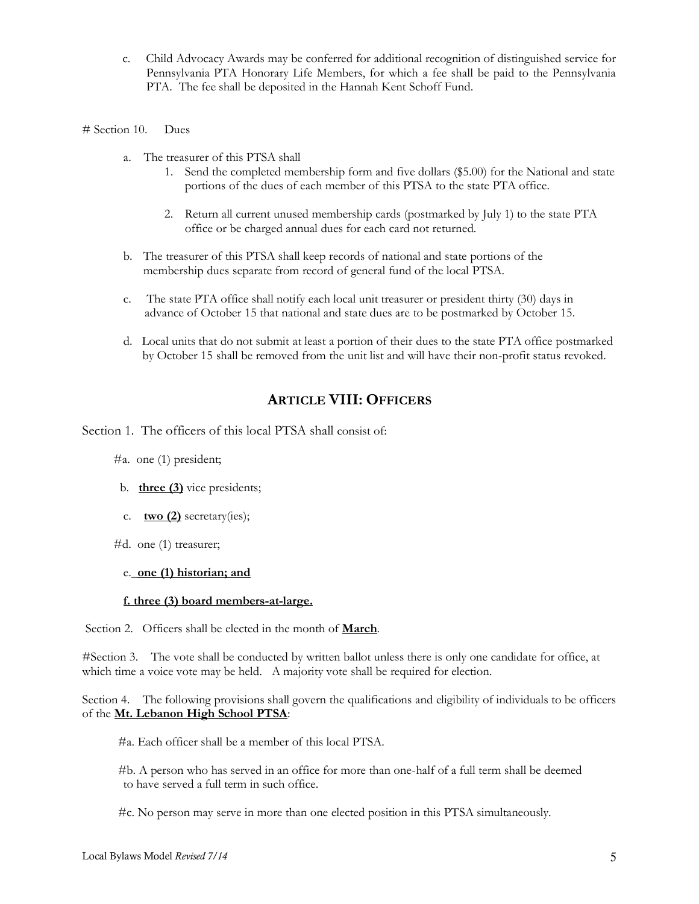- c. Child Advocacy Awards may be conferred for additional recognition of distinguished service for Pennsylvania PTA Honorary Life Members, for which a fee shall be paid to the Pennsylvania PTA. The fee shall be deposited in the Hannah Kent Schoff Fund.
- # Section 10. Dues
	- a. The treasurer of this PTSA shall
		- 1. Send the completed membership form and five dollars (\$5.00) for the National and state portions of the dues of each member of this PTSA to the state PTA office.
		- 2. Return all current unused membership cards (postmarked by July 1) to the state PTA office or be charged annual dues for each card not returned.
	- b. The treasurer of this PTSA shall keep records of national and state portions of the membership dues separate from record of general fund of the local PTSA.
	- c. The state PTA office shall notify each local unit treasurer or president thirty (30) days in advance of October 15 that national and state dues are to be postmarked by October 15.
	- d. Local units that do not submit at least a portion of their dues to the state PTA office postmarked by October 15 shall be removed from the unit list and will have their non-profit status revoked.

## **ARTICLE VIII: OFFICERS**

Section 1. The officers of this local PTSA shall consist of:

- #a. one (1) president;
- b. **three (3)** vice presidents;
- c. **two (2)** secretary(ies);
- #d. one (1) treasurer;

## e.\_**one (1) historian; and**

## **f. three (3) board members-at-large.**

Section 2. Officers shall be elected in the month of **March**.

#Section 3. The vote shall be conducted by written ballot unless there is only one candidate for office, at which time a voice vote may be held. A majority vote shall be required for election.

Section 4. The following provisions shall govern the qualifications and eligibility of individuals to be officers of the **Mt. Lebanon High School PTSA**:

#a. Each officer shall be a member of this local PTSA.

#b. A person who has served in an office for more than one-half of a full term shall be deemed to have served a full term in such office.

#c. No person may serve in more than one elected position in this PTSA simultaneously.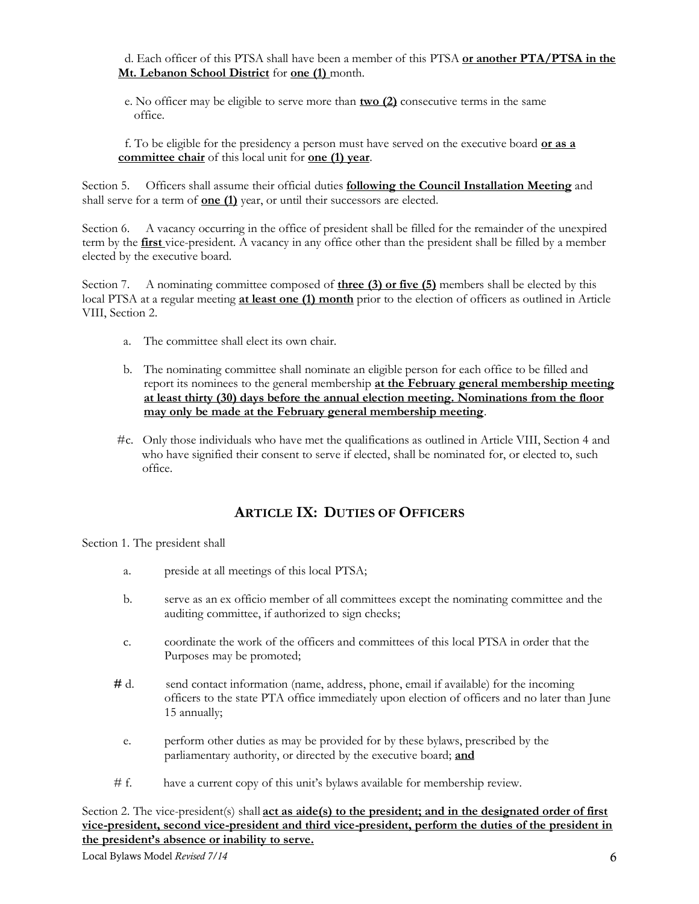d. Each officer of this PTSA shall have been a member of this PTSA **or another PTA/PTSA in the Mt. Lebanon School District** for **one (1)** month.

 e. No officer may be eligible to serve more than **two (2)** consecutive terms in the same office.

 f. To be eligible for the presidency a person must have served on the executive board **or as a committee chair** of this local unit for **one (1) year**.

Section 5. Officers shall assume their official duties **following the Council Installation Meeting** and shall serve for a term of **one (1)** year, or until their successors are elected.

Section 6. A vacancy occurring in the office of president shall be filled for the remainder of the unexpired term by the **first** vice-president. A vacancy in any office other than the president shall be filled by a member elected by the executive board.

Section 7. A nominating committee composed of **three (3) or five (5)** members shall be elected by this local PTSA at a regular meeting **at least one (1) month** prior to the election of officers as outlined in Article VIII, Section 2.

- a. The committee shall elect its own chair.
- b. The nominating committee shall nominate an eligible person for each office to be filled and report its nominees to the general membership **at the February general membership meeting at least thirty (30) days before the annual election meeting. Nominations from the floor may only be made at the February general membership meeting**.
- #c. Only those individuals who have met the qualifications as outlined in Article VIII, Section 4 and who have signified their consent to serve if elected, shall be nominated for, or elected to, such office.

# **ARTICLE IX: DUTIES OF OFFICERS**

Section 1. The president shall

- a. preside at all meetings of this local PTSA;
- b. serve as an ex officio member of all committees except the nominating committee and the auditing committee, if authorized to sign checks;
- c. coordinate the work of the officers and committees of this local PTSA in order that the Purposes may be promoted;
- **#** d. send contact information (name, address, phone, email if available) for the incoming officers to the state PTA office immediately upon election of officers and no later than June 15 annually;
	- e. perform other duties as may be provided for by these bylaws, prescribed by the parliamentary authority, or directed by the executive board; **and**
- # f. have a current copy of this unit's bylaws available for membership review.

Section 2. The vice-president(s) shall **<u>act as aide(s) to the president; and in the designated order of first</u> vice-president, second vice-president and third vice-president, perform the duties of the president in the president's absence or inability to serve.**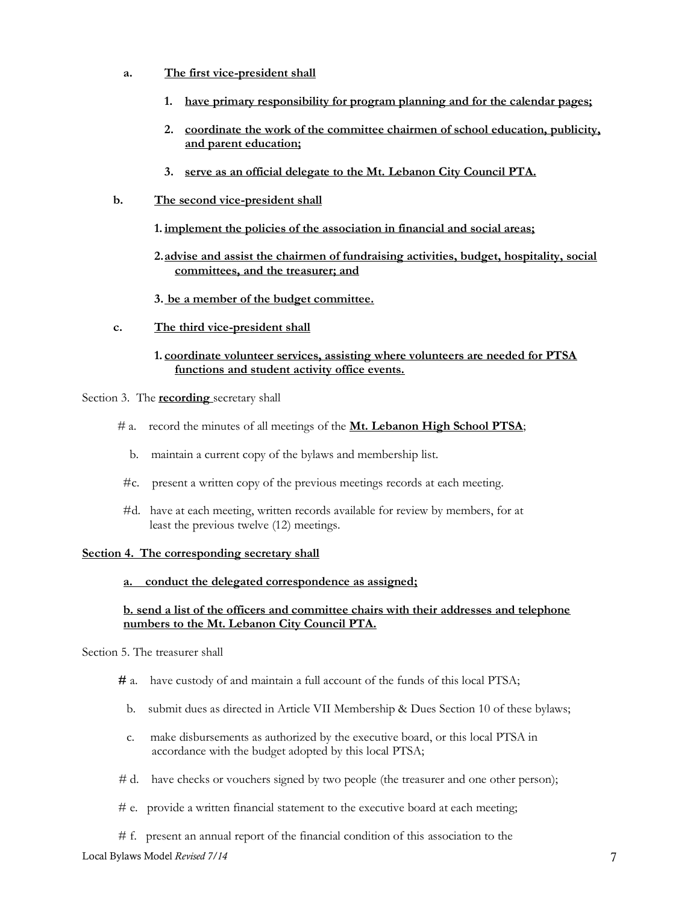- **a. The first vice-president shall**
	- **1. have primary responsibility for program planning and for the calendar pages;**
	- **2. coordinate the work of the committee chairmen of school education, publicity, and parent education;**
	- **3. serve as an official delegate to the Mt. Lebanon City Council PTA.**
- **b. The second vice-president shall**
	- **1. implement the policies of the association in financial and social areas;**
	- **2.advise and assist the chairmen of fundraising activities, budget, hospitality, social committees, and the treasurer; and**
	- **3. be a member of the budget committee.**
- **c. The third vice-president shall**
	- **1. coordinate volunteer services, assisting where volunteers are needed for PTSA functions and student activity office events.**

Section 3. The **recording** secretary shall

- # a. record the minutes of all meetings of the **Mt. Lebanon High School PTSA**;
	- b. maintain a current copy of the bylaws and membership list.
- #c. present a written copy of the previous meetings records at each meeting.
- #d. have at each meeting, written records available for review by members, for at least the previous twelve (12) meetings.

## **Section 4. The corresponding secretary shall**

## **a. conduct the delegated correspondence as assigned;**

## **b. send a list of the officers and committee chairs with their addresses and telephone numbers to the Mt. Lebanon City Council PTA.**

## Section 5. The treasurer shall

- **#** a.have custody of and maintain a full account of the funds of this local PTSA;
	- b. submit dues as directed in Article VII Membership & Dues Section 10 of these bylaws;
	- c. make disbursements as authorized by the executive board, or this local PTSA in accordance with the budget adopted by this local PTSA;
- *#* d.have checks or vouchers signed by two people (the treasurer and one other person);
- # e. provide a written financial statement to the executive board at each meeting;
- # f. present an annual report of the financial condition of this association to the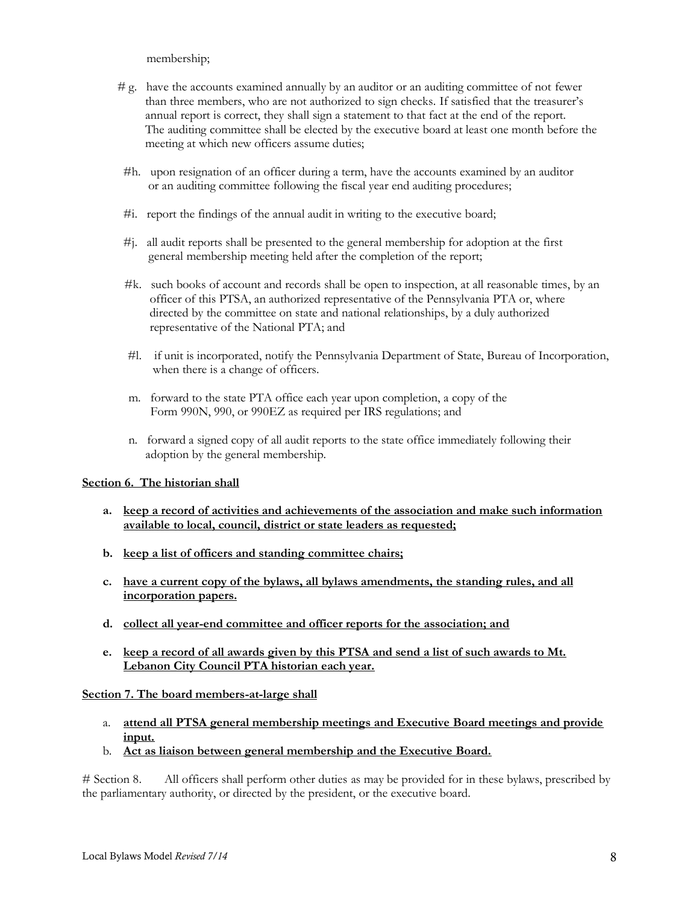membership;

- *#* g. have the accounts examined annually by an auditor or an auditing committee of not fewer than three members, who are not authorized to sign checks. If satisfied that the treasurer's annual report is correct, they shall sign a statement to that fact at the end of the report. The auditing committee shall be elected by the executive board at least one month before the meeting at which new officers assume duties;
- #h. upon resignation of an officer during a term, have the accounts examined by an auditor or an auditing committee following the fiscal year end auditing procedures;
- #i. report the findings of the annual audit in writing to the executive board;
- #j. all audit reports shall be presented to the general membership for adoption at the first general membership meeting held after the completion of the report;
- #k. such books of account and records shall be open to inspection, at all reasonable times, by an officer of this PTSA, an authorized representative of the Pennsylvania PTA or, where directed by the committee on state and national relationships, by a duly authorized representative of the National PTA; and
- #l.if unit is incorporated, notify the Pennsylvania Department of State, Bureau of Incorporation, when there is a change of officers.
- m. forward to the state PTA office each year upon completion, a copy of the Form 990N, 990, or 990EZ as required per IRS regulations; and
- n. forward a signed copy of all audit reports to the state office immediately following their adoption by the general membership.

## **Section 6. The historian shall**

- **a. keep a record of activities and achievements of the association and make such information available to local, council, district or state leaders as requested;**
- **b. keep a list of officers and standing committee chairs;**
- **c. have a current copy of the bylaws, all bylaws amendments, the standing rules, and all incorporation papers.**
- **d. collect all year-end committee and officer reports for the association; and**
- **e. keep a record of all awards given by this PTSA and send a list of such awards to Mt. Lebanon City Council PTA historian each year.**

## **Section 7. The board members-at-large shall**

- a. **attend all PTSA general membership meetings and Executive Board meetings and provide input.**
- b. **Act as liaison between general membership and the Executive Board.**

# Section 8. All officers shall perform other duties as may be provided for in these bylaws, prescribed by the parliamentary authority, or directed by the president, or the executive board.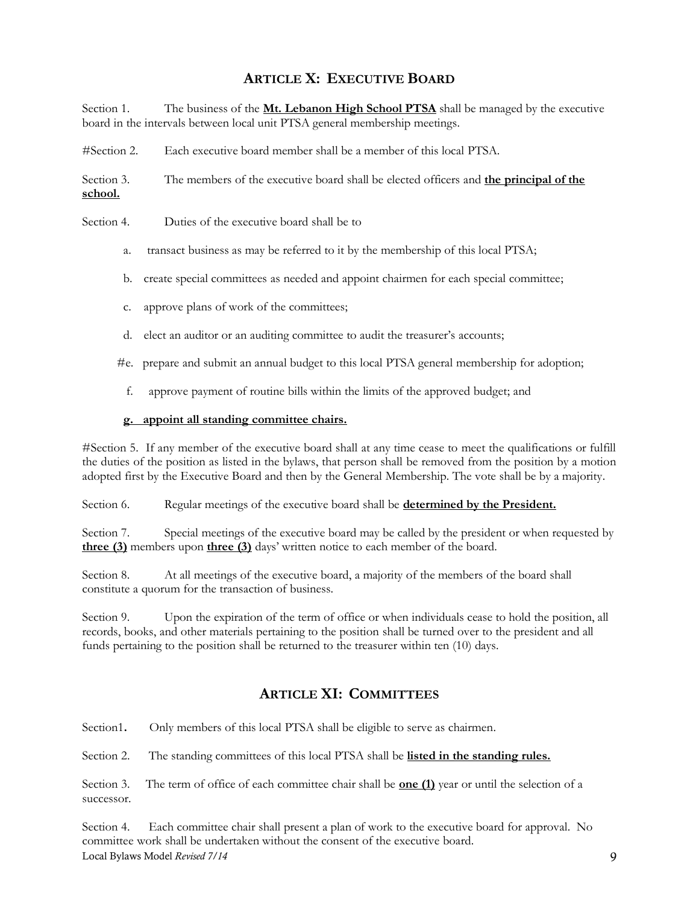# **ARTICLE X: EXECUTIVE BOARD**

Section 1. The business of the **Mt. Lebanon High School PTSA** shall be managed by the executive board in the intervals between local unit PTSA general membership meetings.

#Section 2. Each executive board member shall be a member of this local PTSA.

Section 3. The members of the executive board shall be elected officers and **the principal of the school.**

- Section 4. Duties of the executive board shall be to
	- a. transact business as may be referred to it by the membership of this local PTSA;
	- b. create special committees as needed and appoint chairmen for each special committee;
	- c. approve plans of work of the committees;
	- d. elect an auditor or an auditing committee to audit the treasurer's accounts;
	- #e. prepare and submit an annual budget to this local PTSA general membership for adoption;
		- f. approve payment of routine bills within the limits of the approved budget; and

## **g. appoint all standing committee chairs.**

#Section 5. If any member of the executive board shall at any time cease to meet the qualifications or fulfill the duties of the position as listed in the bylaws, that person shall be removed from the position by a motion adopted first by the Executive Board and then by the General Membership. The vote shall be by a majority.

Section 6. Regular meetings of the executive board shall be **determined by the President.**

Section 7. Special meetings of the executive board may be called by the president or when requested by **three (3)** members upon **three (3)** days' written notice to each member of the board.

Section 8. At all meetings of the executive board, a majority of the members of the board shall constitute a quorum for the transaction of business.

Section 9. Upon the expiration of the term of office or when individuals cease to hold the position, all records, books, and other materials pertaining to the position shall be turned over to the president and all funds pertaining to the position shall be returned to the treasurer within ten (10) days.

## **ARTICLE XI: COMMITTEES**

Section1**.** Only members of this local PTSA shall be eligible to serve as chairmen. Section 2. The standing committees of this local PTSA shall be **listed in the standing rules.** Section 3. The term of office of each committee chair shall be **one (1)** year or until the selection of a successor.

Local Bylaws Model *Revised 7/14* 9 Section 4. Each committee chair shall present a plan of work to the executive board for approval. No committee work shall be undertaken without the consent of the executive board.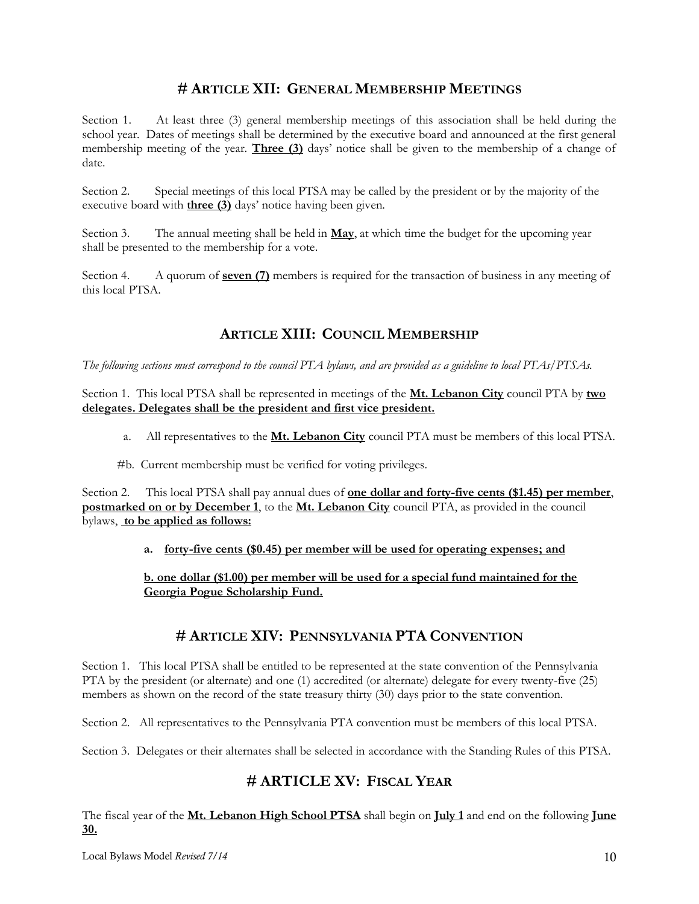# **# ARTICLE XII: GENERAL MEMBERSHIP MEETINGS**

Section 1. At least three (3) general membership meetings of this association shall be held during the school year. Dates of meetings shall be determined by the executive board and announced at the first general membership meeting of the year. **Three (3)** days' notice shall be given to the membership of a change of date.

Section 2. Special meetings of this local PTSA may be called by the president or by the majority of the executive board with **three (3)** days' notice having been given.

Section 3. The annual meeting shall be held in **May**, at which time the budget for the upcoming year shall be presented to the membership for a vote.

Section 4. A quorum of **seven (7)** members is required for the transaction of business in any meeting of this local PTSA.

# **ARTICLE XIII: COUNCIL MEMBERSHIP**

*The following sections must correspond to the council PTA bylaws, and are provided as a guideline to local PTAs/PTSAs.*

Section 1. This local PTSA shall be represented in meetings of the **Mt. Lebanon City** council PTA by **two delegates. Delegates shall be the president and first vice president.**

- a. All representatives to the **Mt. Lebanon City** council PTA must be members of this local PTSA.
- #b. Current membership must be verified for voting privileges.

Section 2. This local PTSA shall pay annual dues of **one dollar and forty-five cents (\$1.45) per member**, **postmarked on or by December 1**, to the **Mt. Lebanon City** council PTA, as provided in the council bylaws, **to be applied as follows:**

**a. forty-five cents (\$0.45) per member will be used for operating expenses; and**

**b. one dollar (\$1.00) per member will be used for a special fund maintained for the Georgia Pogue Scholarship Fund.**

## **# ARTICLE XIV: PENNSYLVANIA PTA CONVENTION**

Section 1. This local PTSA shall be entitled to be represented at the state convention of the Pennsylvania PTA by the president (or alternate) and one (1) accredited (or alternate) delegate for every twenty-five (25) members as shown on the record of the state treasury thirty (30) days prior to the state convention.

Section 2. All representatives to the Pennsylvania PTA convention must be members of this local PTSA.

Section 3. Delegates or their alternates shall be selected in accordance with the Standing Rules of this PTSA.

## **# ARTICLE XV: FISCAL YEAR**

The fiscal year of the **Mt. Lebanon High School PTSA** shall begin on **July 1** and end on the following **June 30.**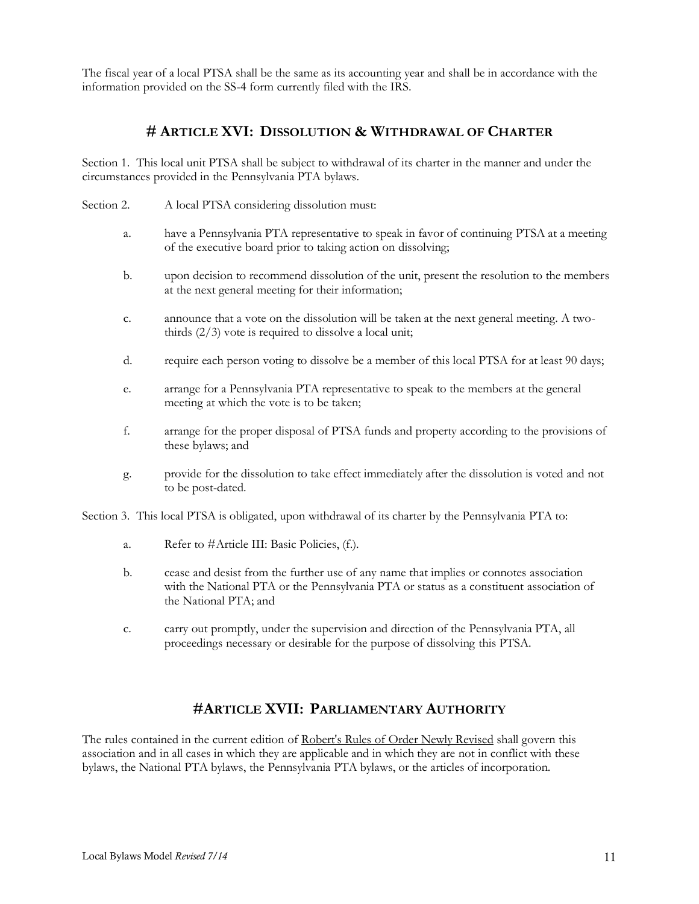The fiscal year of a local PTSA shall be the same as its accounting year and shall be in accordance with the information provided on the SS-4 form currently filed with the IRS.

## **# ARTICLE XVI: DISSOLUTION & WITHDRAWAL OF CHARTER**

Section 1. This local unit PTSA shall be subject to withdrawal of its charter in the manner and under the circumstances provided in the Pennsylvania PTA bylaws.

- Section 2. A local PTSA considering dissolution must:
	- a. have a Pennsylvania PTA representative to speak in favor of continuing PTSA at a meeting of the executive board prior to taking action on dissolving;
	- b. upon decision to recommend dissolution of the unit, present the resolution to the members at the next general meeting for their information;
	- c. announce that a vote on the dissolution will be taken at the next general meeting. A twothirds (2/3) vote is required to dissolve a local unit;
	- d. require each person voting to dissolve be a member of this local PTSA for at least 90 days;
	- e. arrange for a Pennsylvania PTA representative to speak to the members at the general meeting at which the vote is to be taken;
	- f. arrange for the proper disposal of PTSA funds and property according to the provisions of these bylaws; and
	- g. provide for the dissolution to take effect immediately after the dissolution is voted and not to be post-dated.

Section 3. This local PTSA is obligated, upon withdrawal of its charter by the Pennsylvania PTA to:

- a. Refer to #Article III: Basic Policies, (f.).
- b. cease and desist from the further use of any name that implies or connotes association with the National PTA or the Pennsylvania PTA or status as a constituent association of the National PTA; and
- c. carry out promptly, under the supervision and direction of the Pennsylvania PTA, all proceedings necessary or desirable for the purpose of dissolving this PTSA.

## **#ARTICLE XVII: PARLIAMENTARY AUTHORITY**

The rules contained in the current edition of Robert's Rules of Order Newly Revised shall govern this association and in all cases in which they are applicable and in which they are not in conflict with these bylaws, the National PTA bylaws, the Pennsylvania PTA bylaws, or the articles of incorporation.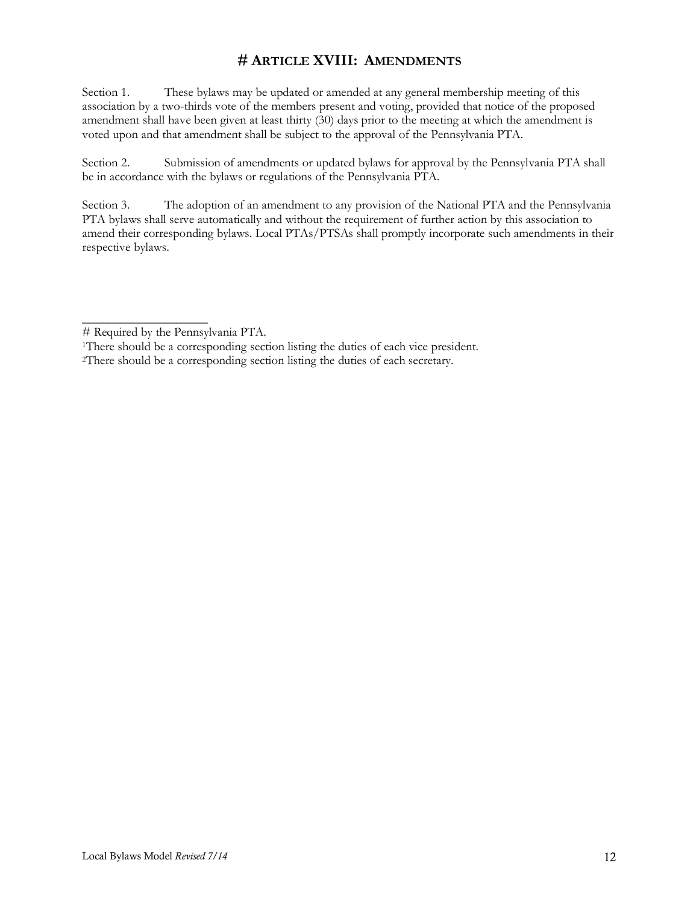# **# ARTICLE XVIII: AMENDMENTS**

Section 1. These bylaws may be updated or amended at any general membership meeting of this association by a two-thirds vote of the members present and voting, provided that notice of the proposed amendment shall have been given at least thirty (30) days prior to the meeting at which the amendment is voted upon and that amendment shall be subject to the approval of the Pennsylvania PTA.

Section 2. Submission of amendments or updated bylaws for approval by the Pennsylvania PTA shall be in accordance with the bylaws or regulations of the Pennsylvania PTA.

Section 3. The adoption of an amendment to any provision of the National PTA and the Pennsylvania PTA bylaws shall serve automatically and without the requirement of further action by this association to amend their corresponding bylaws. Local PTAs/PTSAs shall promptly incorporate such amendments in their respective bylaws.

\_\_\_\_\_\_\_\_\_\_\_\_\_\_\_\_\_\_\_\_

<sup>#</sup> Required by the Pennsylvania PTA.

<sup>&</sup>lt;sup>1</sup>There should be a corresponding section listing the duties of each vice president.

<sup>2</sup>There should be a corresponding section listing the duties of each secretary.